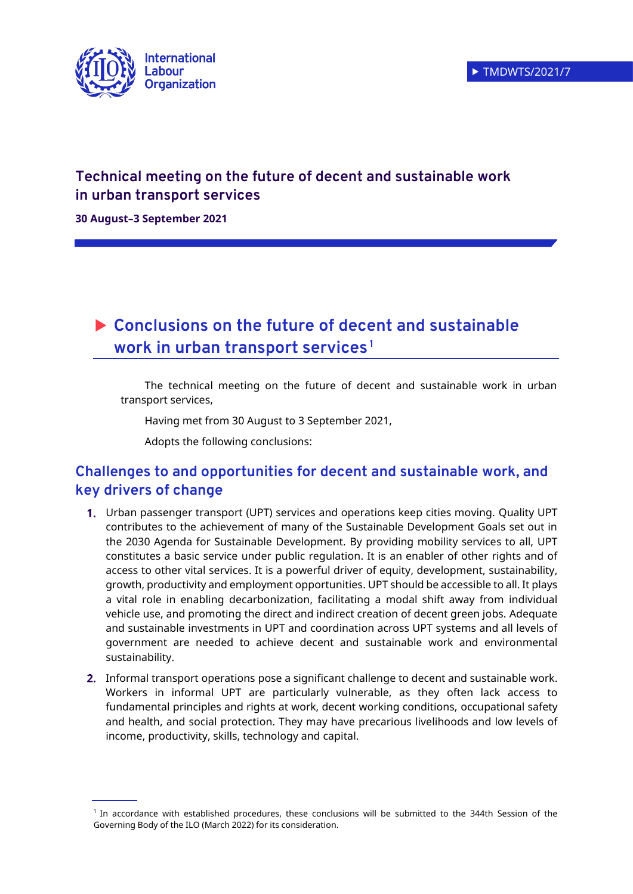

# **Technical meeting on the future of decent and sustainable work in urban transport services**

**30 August–3 September 2021**

# **Conclusions on the future of decent and sustainable work in urban transport services <sup>1</sup>**

The technical meeting on the future of decent and sustainable work in urban transport services,

Having met from 30 August to 3 September 2021,

Adopts the following conclusions:

## **Challenges to and opportunities for decent and sustainable work, and key drivers of change**

- 1. Urban passenger transport (UPT) services and operations keep cities moving. Quality UPT contributes to the achievement of many of the Sustainable Development Goals set out in the 2030 Agenda for Sustainable Development. By providing mobility services to all, UPT constitutes a basic service under public regulation. It is an enabler of other rights and of access to other vital services. It is a powerful driver of equity, development, sustainability, growth, productivity and employment opportunities. UPT should be accessible to all. It plays a vital role in enabling decarbonization, facilitating a modal shift away from individual vehicle use, and promoting the direct and indirect creation of decent green jobs. Adequate and sustainable investments in UPT and coordination across UPT systems and all levels of government are needed to achieve decent and sustainable work and environmental sustainability.
- 2. Informal transport operations pose a significant challenge to decent and sustainable work. Workers in informal UPT are particularly vulnerable, as they often lack access to fundamental principles and rights at work, decent working conditions, occupational safety and health, and social protection. They may have precarious livelihoods and low levels of income, productivity, skills, technology and capital.

<sup>1</sup> In accordance with established procedures, these conclusions will be submitted to the 344th Session of the Governing Body of the ILO (March 2022) for its consideration.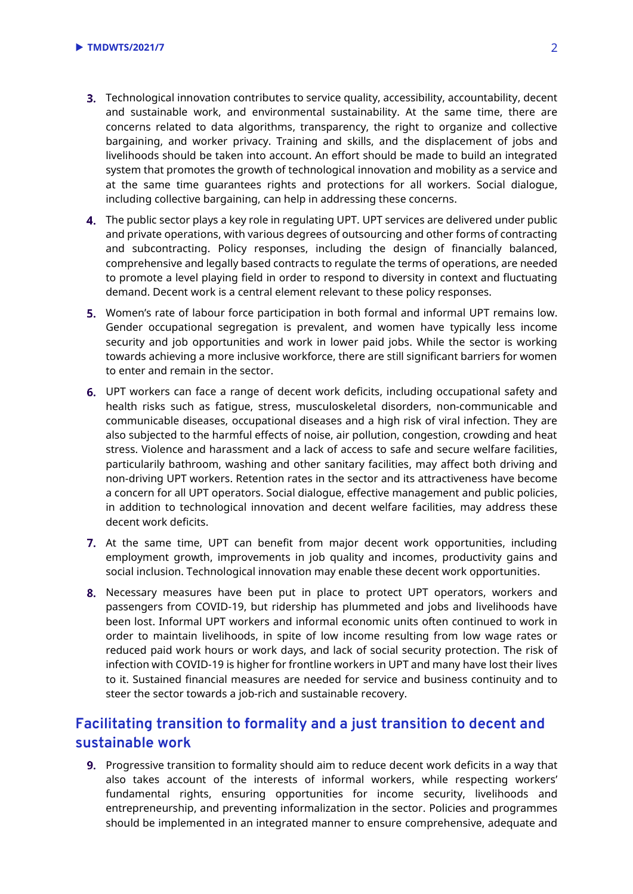- Technological innovation contributes to service quality, accessibility, accountability, decent and sustainable work, and environmental sustainability. At the same time, there are concerns related to data algorithms, transparency, the right to organize and collective bargaining, and worker privacy. Training and skills, and the displacement of jobs and livelihoods should be taken into account. An effort should be made to build an integrated system that promotes the growth of technological innovation and mobility as a service and at the same time guarantees rights and protections for all workers. Social dialogue, including collective bargaining, can help in addressing these concerns.
- The public sector plays a key role in regulating UPT. UPT services are delivered under public and private operations, with various degrees of outsourcing and other forms of contracting and subcontracting. Policy responses, including the design of financially balanced, comprehensive and legally based contracts to regulate the terms of operations, are needed to promote a level playing field in order to respond to diversity in context and fluctuating demand. Decent work is a central element relevant to these policy responses.
- **5.** Women's rate of labour force participation in both formal and informal UPT remains low. Gender occupational segregation is prevalent, and women have typically less income security and job opportunities and work in lower paid jobs. While the sector is working towards achieving a more inclusive workforce, there are still significant barriers for women to enter and remain in the sector.
- UPT workers can face a range of decent work deficits, including occupational safety and health risks such as fatigue, stress, musculoskeletal disorders, non-communicable and communicable diseases, occupational diseases and a high risk of viral infection. They are also subjected to the harmful effects of noise, air pollution, congestion, crowding and heat stress. Violence and harassment and a lack of access to safe and secure welfare facilities, particularily bathroom, washing and other sanitary facilities, may affect both driving and non-driving UPT workers. Retention rates in the sector and its attractiveness have become a concern for all UPT operators. Social dialogue, effective management and public policies, in addition to technological innovation and decent welfare facilities, may address these decent work deficits.
- 7. At the same time, UPT can benefit from major decent work opportunities, including employment growth, improvements in job quality and incomes, productivity gains and social inclusion. Technological innovation may enable these decent work opportunities.
- 8. Necessary measures have been put in place to protect UPT operators, workers and passengers from COVID-19, but ridership has plummeted and jobs and livelihoods have been lost. Informal UPT workers and informal economic units often continued to work in order to maintain livelihoods, in spite of low income resulting from low wage rates or reduced paid work hours or work days, and lack of social security protection. The risk of infection with COVID-19 is higher for frontline workers in UPT and many have lost their lives to it. Sustained financial measures are needed for service and business continuity and to steer the sector towards a job-rich and sustainable recovery.

### **Facilitating transition to formality and a just transition to decent and sustainable work**

**9.** Progressive transition to formality should aim to reduce decent work deficits in a way that also takes account of the interests of informal workers, while respecting workers' fundamental rights, ensuring opportunities for income security, livelihoods and entrepreneurship, and preventing informalization in the sector. Policies and programmes should be implemented in an integrated manner to ensure comprehensive, adequate and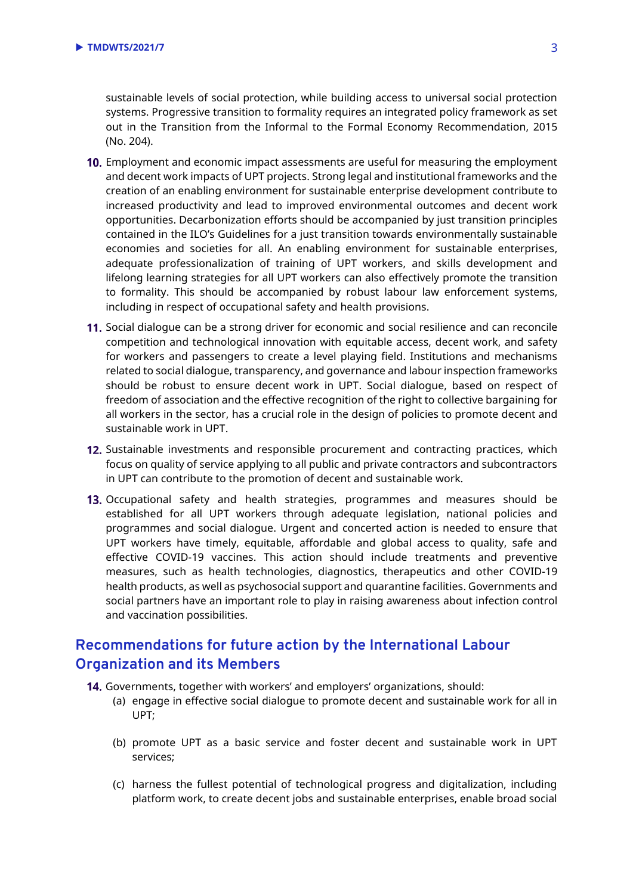sustainable levels of social protection, while building access to universal social protection systems. Progressive transition to formality requires an integrated policy framework as set out in the Transition from the Informal to the Formal Economy Recommendation, 2015 (No. 204).

- 10. Employment and economic impact assessments are useful for measuring the employment and decent work impacts of UPT projects. Strong legal and institutional frameworks and the creation of an enabling environment for sustainable enterprise development contribute to increased productivity and lead to improved environmental outcomes and decent work opportunities. Decarbonization efforts should be accompanied by just transition principles contained in the ILO's Guidelines for a just transition towards environmentally sustainable economies and societies for all. An enabling environment for sustainable enterprises, adequate professionalization of training of UPT workers, and skills development and lifelong learning strategies for all UPT workers can also effectively promote the transition to formality. This should be accompanied by robust labour law enforcement systems, including in respect of occupational safety and health provisions.
- 11. Social dialogue can be a strong driver for economic and social resilience and can reconcile competition and technological innovation with equitable access, decent work, and safety for workers and passengers to create a level playing field. Institutions and mechanisms related to social dialogue, transparency, and governance and labour inspection frameworks should be robust to ensure decent work in UPT. Social dialogue, based on respect of freedom of association and the effective recognition of the right to collective bargaining for all workers in the sector, has a crucial role in the design of policies to promote decent and sustainable work in UPT.
- 12. Sustainable investments and responsible procurement and contracting practices, which focus on quality of service applying to all public and private contractors and subcontractors in UPT can contribute to the promotion of decent and sustainable work.
- 13. Occupational safety and health strategies, programmes and measures should be established for all UPT workers through adequate legislation, national policies and programmes and social dialogue. Urgent and concerted action is needed to ensure that UPT workers have timely, equitable, affordable and global access to quality, safe and effective COVID-19 vaccines. This action should include treatments and preventive measures, such as health technologies, diagnostics, therapeutics and other COVID-19 health products, as well as psychosocial support and quarantine facilities. Governments and social partners have an important role to play in raising awareness about infection control and vaccination possibilities.

### **Recommendations for future action by the International Labour Organization and its Members**

- 14. Governments, together with workers' and employers' organizations, should:
	- (a) engage in effective social dialogue to promote decent and sustainable work for all in UPT;
	- (b) promote UPT as a basic service and foster decent and sustainable work in UPT services;
	- (c) harness the fullest potential of technological progress and digitalization, including platform work, to create decent jobs and sustainable enterprises, enable broad social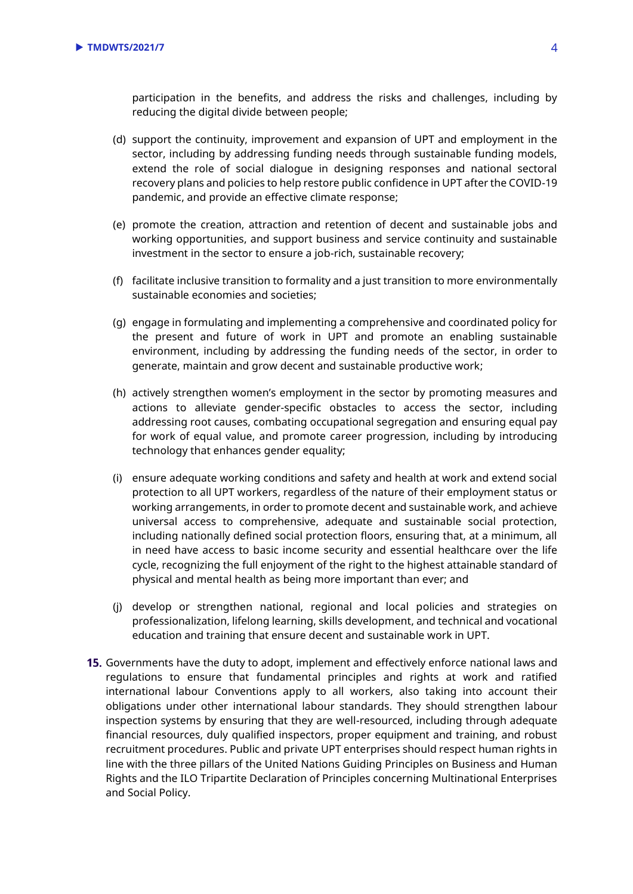participation in the benefits, and address the risks and challenges, including by reducing the digital divide between people;

- (d) support the continuity, improvement and expansion of UPT and employment in the sector, including by addressing funding needs through sustainable funding models, extend the role of social dialogue in designing responses and national sectoral recovery plans and policies to help restore public confidence in UPT after the COVID-19 pandemic, and provide an effective climate response;
- (e) promote the creation, attraction and retention of decent and sustainable jobs and working opportunities, and support business and service continuity and sustainable investment in the sector to ensure a job-rich, sustainable recovery;
- (f) facilitate inclusive transition to formality and a just transition to more environmentally sustainable economies and societies;
- (g) engage in formulating and implementing a comprehensive and coordinated policy for the present and future of work in UPT and promote an enabling sustainable environment, including by addressing the funding needs of the sector, in order to generate, maintain and grow decent and sustainable productive work;
- (h) actively strengthen women's employment in the sector by promoting measures and actions to alleviate gender-specific obstacles to access the sector, including addressing root causes, combating occupational segregation and ensuring equal pay for work of equal value, and promote career progression, including by introducing technology that enhances gender equality;
- (i) ensure adequate working conditions and safety and health at work and extend social protection to all UPT workers, regardless of the nature of their employment status or working arrangements, in order to promote decent and sustainable work, and achieve universal access to comprehensive, adequate and sustainable social protection, including nationally defined social protection floors, ensuring that, at a minimum, all in need have access to basic income security and essential healthcare over the life cycle, recognizing the full enjoyment of the right to the highest attainable standard of physical and mental health as being more important than ever; and
- (j) develop or strengthen national, regional and local policies and strategies on professionalization, lifelong learning, skills development, and technical and vocational education and training that ensure decent and sustainable work in UPT.
- **15.** Governments have the duty to adopt, implement and effectively enforce national laws and regulations to ensure that fundamental principles and rights at work and ratified international labour Conventions apply to all workers, also taking into account their obligations under other international labour standards. They should strengthen labour inspection systems by ensuring that they are well-resourced, including through adequate financial resources, duly qualified inspectors, proper equipment and training, and robust recruitment procedures. Public and private UPT enterprises should respect human rights in line with the three pillars of the United Nations Guiding Principles on Business and Human Rights and the ILO Tripartite Declaration of Principles concerning Multinational Enterprises and Social Policy.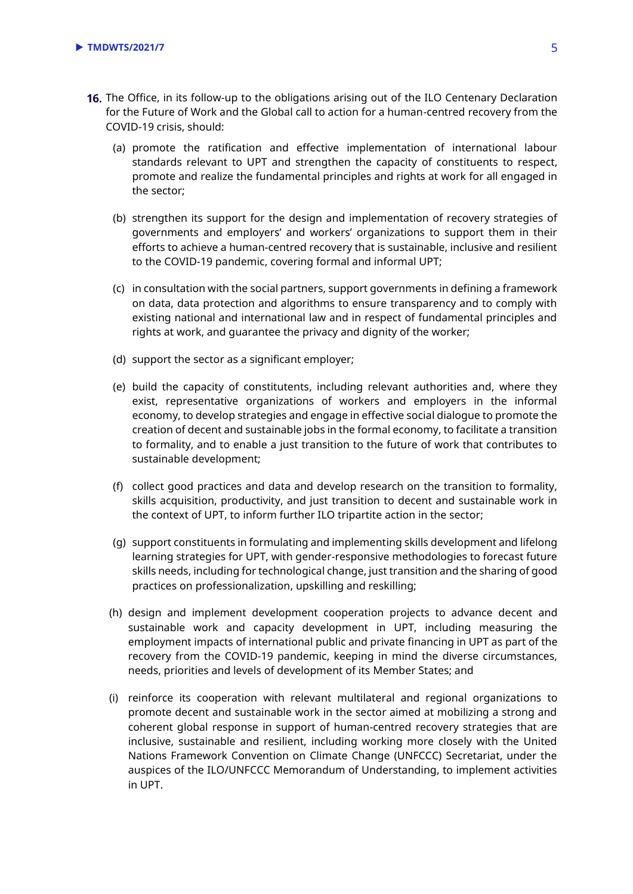- 16. The Office, in its follow-up to the obligations arising out of [the ILO Centenary Declaration](https://www.ilo.org/wcmsp5/groups/public/@ed_norm/@relconf/documents/meetingdocument/wcms_711674.pdf) for the Future of Work and the Global call to action for a human-centred recovery from the COVID-19 crisis, should:
	- (a) promote the ratification and effective implementation of international labour standards relevant to UPT and strengthen the capacity of constituents to respect, promote and realize the fundamental principles and rights at work for all engaged in the sector;
	- (b) strengthen its support for the design and implementation of recovery strategies of governments and employers' and workers' organizations to support them in their efforts to achieve a human-centred recovery that is sustainable, inclusive and resilient to the COVID-19 pandemic, covering formal and informal UPT;
	- (c) in consultation with the social partners, support governments in defining a framework on data, data protection and algorithms to ensure transparency and to comply with existing national and international law and in respect of fundamental principles and rights at work, and guarantee the privacy and dignity of the worker;
	- (d) support the sector as a significant employer;
	- (e) build the capacity of constitutents, including relevant authorities and, where they exist, representative organizations of workers and employers in the informal economy, to develop strategies and engage in effective social dialogue to promote the creation of decent and sustainable jobs in the formal economy, to facilitate a transition to formality, and to enable a just transition to the future of work that contributes to sustainable development;
	- (f) collect good practices and data and develop research on the transition to formality, skills acquisition, productivity, and just transition to decent and sustainable work in the context of UPT, to inform further ILO tripartite action in the sector;
	- (g) support constituents in formulating and implementing skills development and lifelong learning strategies for UPT, with gender-responsive methodologies to forecast future skills needs, including for technological change, just transition and the sharing of good practices on professionalization, upskilling and reskilling;
	- (h) design and implement development cooperation projects to advance decent and sustainable work and capacity development in UPT, including measuring the employment impacts of international public and private financing in UPT as part of the recovery from the COVID-19 pandemic, keeping in mind the diverse circumstances, needs, priorities and levels of development of its Member States; and
	- (i) reinforce its cooperation with relevant multilateral and regional organizations to promote decent and sustainable work in the sector aimed at mobilizing a strong and coherent global response in support of human-centred recovery strategies that are inclusive, sustainable and resilient, including working more closely with the United Nations Framework Convention on Climate Change (UNFCCC) Secretariat, under the auspices of the ILO/UNFCCC Memorandum of Understanding, to implement activities in UPT.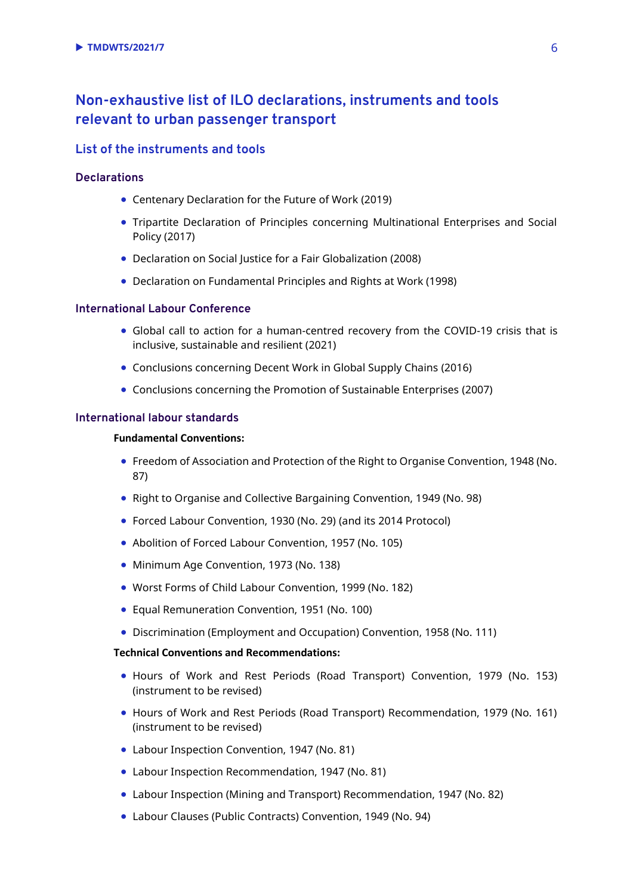### **Non-exhaustive list of ILO declarations, instruments and tools relevant to urban passenger transport**

#### **List of the instruments and tools**

#### **Declarations**

- [Centenary Declaration for the Future of Work](https://www.ilo.org/wcmsp5/groups/public/@ed_norm/@relconf/documents/meetingdocument/wcms_711674.pdf) (2019)
- [Tripartite Declaration of Principles concerning Multinational Enterprises and Social](https://www.ilo.org/wcmsp5/groups/public/---ed_emp/---emp_ent/---multi/documents/publication/wcms_094386.pdf)  [Policy](https://www.ilo.org/wcmsp5/groups/public/---ed_emp/---emp_ent/---multi/documents/publication/wcms_094386.pdf) (2017)
- [Declaration on Social Justice for a Fair Globalization \(2008\)](https://www.ilo.org/wcmsp5/groups/public/---dgreports/---cabinet/documents/genericdocument/wcms_371208.pdf)
- [Declaration on Fundamental Principles and Rights at Work \(1998\)](https://www.ilo.org/wcmsp5/groups/public/---ed_norm/---declaration/documents/publication/wcms_467653.pdf)

#### **International Labour Conference**

- Global call to action for a human-centred recovery from the COVID-19 crisis that is inclusive, sustainable and resilient (2021)
- [Conclusions concerning Decent Work in Global Supply Chains](https://www.ilo.org/wcmsp5/groups/public/---ed_norm/---relconf/documents/meetingdocument/wcms_497555.pdf) (2016)
- [Conclusions concerning the Promotion of Sustainable Enterprises](https://www.ilo.org/wcmsp5/groups/public/---ed_emp/---emp_ent/documents/publication/wcms_093970.pdf) (2007)

#### **International labour standards**

#### **Fundamental Conventions:**

- [Freedom of Association and Protection of the Right to Organise Convention, 1948 \(No.](https://www.ilo.org/dyn/normlex/en/f?p=NORMLEXPUB:12100:::NO:12100:P12100_ILO_CODE:C087:NO)  [87\)](https://www.ilo.org/dyn/normlex/en/f?p=NORMLEXPUB:12100:::NO:12100:P12100_ILO_CODE:C087:NO)
- [Right to Organise and Collective Bargaining Convention, 1949 \(No. 98\)](https://www.ilo.org/dyn/normlex/en/f?p=NORMLEXPUB:12100:0::NO::P12100_ILO_CODE:C098)
- [Forced Labour Convention, 1930 \(No. 29\)](http://www.ilo.org/dyn/normlex/en/f?p=NORMLEXPUB:12100:::NO:12100:P12100_ILO_CODE:C029:NO) (and its [2014 Protocol\)](https://www.ilo.org/dyn/normlex/en/f?p=NORMLEXPUB:12100:::NO:12100:P12100_ILO_CODE:P029:NO)
- [Abolition of Forced Labour Convention, 1957 \(No. 105\)](http://www.ilo.org/dyn/normlex/en/f?p=NORMLEXPUB:12100:::NO:12100:P12100_ILO_CODE:C105:NO)
- [Minimum Age Convention, 1973 \(No. 138\)](http://www.ilo.org/dyn/normlex/en/f?p=NORMLEXPUB:12100:::NO:12100:P12100_ILO_CODE:C138:NO)
- [Worst Forms of Child Labour Convention, 1999 \(No. 182\)](http://www.ilo.org/dyn/normlex/en/f?p=NORMLEXPUB:12100:::NO:12100:P12100_ILO_CODE:C182:NO)
- [Equal Remuneration Convention, 1951 \(No.](https://www.ilo.org/dyn/normlex/en/f?p=NORMLEXPUB:12100:0::NO::P12100_ILO_CODE:C100) 100)
- [Discrimination \(Employment and Occupation\) Convention, 1958 \(No. 111\)](https://www.ilo.org/dyn/normlex/en/f?p=NORMLEXPUB:12100:0::NO::P12100_ILO_CODE:C111)

#### **Technical Conventions and Recommendations:**

- Hours of Work and Rest Periods (Road Transport) Convention, 1979 (No. 153) (instrument to be revised)
- Hours of Work and Rest Periods (Road Transport) Recommendation, 1979 (No. 161) (instrument to be revised)
- Labour Inspection Convention, 1947 (No. 81)
- Labour Inspection Recommendation, 1947 (No. 81)
- Labour Inspection (Mining and Transport) Recommendation, 1947 (No. 82)
- Labour Clauses (Public Contracts) Convention, 1949 (No. 94)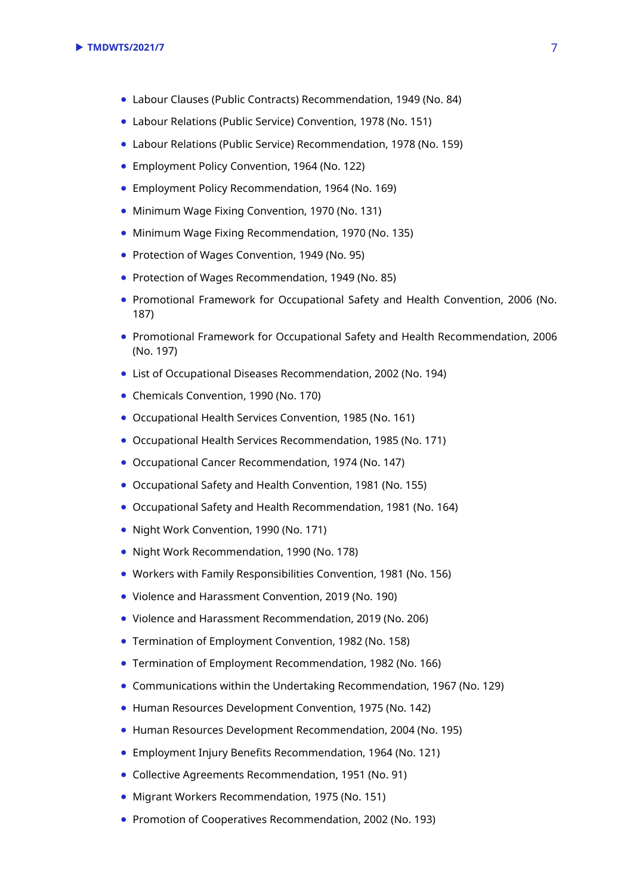- Labour Clauses (Public Contracts) Recommendation, 1949 (No. 84)
- Labour Relations (Public Service) Convention, 1978 (No. 151)
- Labour Relations (Public Service) Recommendation, 1978 (No. 159)
- Employment Policy Convention, 1964 (No. 122)
- Employment Policy Recommendation, 1964 (No. 169)
- Minimum Wage Fixing Convention, 1970 (No. 131)
- Minimum Wage Fixing Recommendation, 1970 (No. 135)
- Protection of Wages Convention, 1949 (No. 95)
- Protection of Wages Recommendation, 1949 (No. 85)
- Promotional Framework for Occupational Safety and Health Convention, 2006 (No. 187)
- Promotional Framework for Occupational Safety and Health Recommendation, 2006 (No. 197)
- List of Occupational Diseases Recommendation, 2002 (No. 194)
- Chemicals Convention, 1990 (No. 170)
- Occupational Health Services Convention, 1985 (No. 161)
- Occupational Health Services Recommendation, 1985 (No. 171)
- Occupational Cancer Recommendation, 1974 (No. 147)
- Occupational Safety and Health Convention, 1981 (No. 155)
- Occupational Safety and Health Recommendation, 1981 (No. 164)
- Night Work Convention, 1990 (No. 171)
- Night Work Recommendation, 1990 (No. 178)
- [Workers with Family Responsibilities Convention, 1981 \(No. 156\)](https://www.ilo.org/dyn/normlex/en/f?p=NORMLEXPUB:12100:0::NO::P12100_ILO_CODE:C156)
- [Violence and Harassment Convention, 2019 \(No. 190\)](https://www.ilo.org/dyn/normlex/en/f?p=NORMLEXPUB:12100:0::NO::P12100_ILO_CODE:C190)
- Violence and Harassment Recommendation, 2019 (No. 206)
- [Termination of Employment Convention, 1982 \(No. 158\)](https://www.ilo.org/dyn/normlex/en/f?p=NORMLEXPUB:12100:0::NO::P12100_ILO_CODE:C158)
- [Termination of Employment Recommendation, 1982 \(No. 166\)](https://www.ilo.org/dyn/normlex/en/f?p=NORMLEXPUB:12100:0::NO::P12100_ILO_CODE:R166)
- [Communications within the Undertaking Recommendation, 1967 \(No. 129\)](https://www.ilo.org/dyn/normlex/en/f?p=NORMLEXPUB:12100:0::NO::P12100_ILO_CODE:R129)
- [Human Resources Development Convention, 1975 \(No. 142\)](https://www.ilo.org/dyn/normlex/en/f?p=NORMLEXPUB:12100:0::NO::P12100_ILO_CODE:C142)
- [Human Resources Development Recommendation, 2004 \(No. 195\)](https://www.ilo.org/dyn/normlex/en/f?p=1000:12100:::NO:12100:P12100_INSTRUMENT_ID:312533)
- Employment Injury Benefits Recommendation, 1964 (No. 121)
- Collective Agreements Recommendation, 1951 (No. 91)
- Migrant Workers Recommendation, 1975 (No. 151)
- Promotion of Cooperatives Recommendation, 2002 (No. 193)